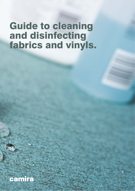## Guide to cleaning and disinfecting fabrics and vinyls.

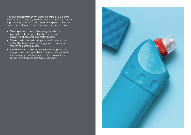Cleaning and disinfection have become hot topics of debate in the wake of COVID-19, with new emphasis on hygiene as an important way in which to help prevent the spread of the virus. Remember that cleaning and disinfection are not the same:

- Cleaning is the process of removing dust, dirt and staining from the surface of a fabric or vinyl to maintain its appearance and prolong its life.
- Disinfection is intended to kill germs micro-organisms such as bacteria, viruses and fungi – which can cause infection and spread disease.
- Some methods, notably using a proprietary upholstery shampoo/soap and water, bleach or steam – are effective at both cleaning and disinfecting, but certain methods can only be carried out on specific fibre types.

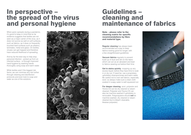## In perspective – the spread of the virus and personal hygiene

When panic spreads during a pandemic, it's good to keep in mind that so far evidence suggests that textiles are not seen as a major carrier of the virus, as it does not survive as well on soft surfaces, such as fabrics, as it does on frequently touched hard surfaces such as plastics, laminates, metal and glass. On textiles, viruses can get trapped and therefore have reduced likelihood of spreading.

And by far the best way to help stop personal infection - picked up from an infected surface - is through improved hand hygiene by washing hands thoroughly using soap and warm water.

**Vacuum fabrics** regularly to prevent build up of dust and dirt on the fabric which can act as an abradant and lead to fabrics wearing out before their time.

While textiles aren't the biggest risk factor, we can minimise any risk further through cleaning and disinfection protocols and even look to soap and water as one of the solutions.



**Get to stains quickly**, mopping up any excess liquid, before they have time to soak in or dry out. If need be, use a proprietary upholstery shampoo/soap and warm water. Be careful not to over wet fabrics, especially wool, so always make sure a clean cloth soaked in soapy water is well squeezed out.

### Guidelines – cleaning and maintenance of fabrics

**For deeper cleaning, wool, polyester and** Trevira CS can be dry cleaned or steam cleaned. Polyester and Trevira CS can also be machine washed if upholstery is removable. Polypropylene should **not** be machine washed, dry cleaned or steam cleaned (but is bleach cleanable, likewise polyester).



Note – please refer to the cleaning matrix for specific recommendations by fibre and material type.

**Regular cleaning** has always been recommended as a way to keep fabrics looking good for longer, with a few straightforward guidelines: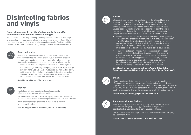# Disinfecting fabrics and vinyls

### Note – please refer to the disinfection matrix for specific recommendations by fibre and material type.

We have extended our long-standing cleaning advice to include a wider range of disinfection methods across different fibre and material types. Some, like with deep cleaning, are applicable to certain material types only. Fabrics should be cleaned before being disinfected using an appropriate method outlined below:



#### Soap and water

Just as soap and water is believed to be the best way to clean your hands to stop the spread of the virus, it is also an effective method which can be used to clean upholstery fabric and vinyl. Soap works so effectively because its chemistry prises open the Coronavirus's exterior envelope and causes it to quickly degrade.

We have carried out tests using both spray and wipes, using 75% alcohol solution. Always follow the specific manufacturer's instructions.

• Use proprietary upholstery shampoo/soap in warm water. To wipe down by hand, use a clean cloth, squeeze out well and be careful not to over wet the upholstery. Alternatively, injection extraction cleaners can be used, which deep clean, rinse and remove excess water at the same time. Leave the upholstery to dry.

**Suitable for all types of fabric and vinyl.**



### Alcohol

Alcohol and ethanol based disinfectants are rapidly effective against bacteria, viruses and fungi.

When cleaning vinyls with alcohol always remove residue by rinsing with water.

**Use on polypropylene, polyester, Trevira CS and vinyl.**



#### **Bleach**

Bleach is typically made from a solution of sodium hypochlorite and is a powerful oxidising agent. This oxidising power is what makes bleach such a great stain remover and also makes it an effective broad spectrum bactericide. When it comes into contact with certain viruses, bacteria, mould or fungi, it oxidises molecules in the cells of the germs and kills them. Bleach is available over the counter at a range of concentrations and is normally further diluted before use.

- General commercial disinfection use a household bleach (containing in a 1:10 dilution. Follow the instructions of the brand you're using: measure out the required dose in relation to the quantity of water, soak a white or lightly coloured cloth in the solution, squeeze out any excess liquid and gently wipe the fabric, before leaving to dry.
- High level disinfection where a higher concentration of bleach is needed, for example healthcare infection control protocols, it is possible to use a 1:4 dilution of bleach in water. This solution will contain  $\sim$  1% sodium hypochlorite and is a highly effective disinfectant. Apply as above, on fabrics rated as suitable in the disinfection matrix below, at 1:4 dilution. Observe any manufacturer safety guidelines and wear appropriate PPE.

#### **Use bleach on polypropylene, polyester, Trevira CS and vinyl. Do not use on natural fibres such as wool, flax or hemp (wool bast).**



#### Steam

Steam cleaning and disinfection is chemical free, using a combination of temperature and pressure to remove dirt and stains, and to kill microorganisms. Steam temperatures typically reach up to 180C and pressures up to 150 psi, with steam vapour penetrating the fabric surface, then a vacuum applying pressure to lift away the moisture along with dirt and any germs.

**Use on wool, wool-bast, polyester and Trevira CS.**



### Anti-bacterial spray / wipes

Anti-bacterial sprays and wipes are typically based on Benzalkonium chloride solutions (0.4g per 100g) and are fast acting biocidal agents effective against bacteria, some viruses and fungi.

Use anti-bacterial wipes to wipe down the upholstery to disinfect, or apply as a spray and wipe.

**Use on polypropylene, polyester, Trevira CS and vinyl.**

 $\sim$  4.5g per 100g of sodium hypochlorite), which should then be used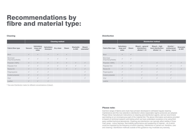|                                 | <b>Cleaning method</b> |                                        |                              |              |              |                    |                             |  |  |  |
|---------------------------------|------------------------|----------------------------------------|------------------------------|--------------|--------------|--------------------|-----------------------------|--|--|--|
| <b>Fabric/fibre type</b>        | <b>Vacuum</b>          | <b>Upholstery</b><br>soap and<br>water | <b>Upholstery</b><br>shampoo | Dry clean    | <b>Steam</b> | Washable<br>to 60C | <b>Bleach</b><br>cleanable* |  |  |  |
| Wool                            | $\checkmark$           | $\checkmark$                           | $\checkmark$                 | $\checkmark$ | $\checkmark$ |                    |                             |  |  |  |
| Wool-bast<br>(Flax/Hemp/Nettle) | $\checkmark$           | $\checkmark$                           | $\checkmark$                 | $\checkmark$ | $\checkmark$ |                    |                             |  |  |  |
| Polyester (100%)                | $\checkmark$           | $\checkmark$                           | $\checkmark$                 | $\checkmark$ | $\checkmark$ | $\checkmark$       | $\checkmark$                |  |  |  |
| Polyester Knit                  | $\checkmark$           | $\checkmark$                           | $\checkmark$                 | $\checkmark$ | $\checkmark$ | $\checkmark$       | $\checkmark$                |  |  |  |
| <b>Trevira CS</b>               | $\checkmark$           | $\checkmark$                           | $\checkmark$                 | $\checkmark$ | $\checkmark$ | $\checkmark$       | $\checkmark$                |  |  |  |
| Polypropylene                   | $\checkmark$           | $\checkmark$                           | $\checkmark$                 |              |              |                    | $\checkmark$                |  |  |  |
| Coated polyester                | $\checkmark$           | $\checkmark$                           | $\checkmark$                 |              |              |                    | $\checkmark$                |  |  |  |
| Vinyl                           | $\checkmark$           | $\checkmark$                           | $\checkmark$                 |              |              |                    | $\checkmark$                |  |  |  |
| Leather                         | $\checkmark$           | $\checkmark$                           | $\checkmark$                 |              |              |                    |                             |  |  |  |

#### Please note:

Camira's range of fabrics and vinyls have all been developed to withstand regular cleaning maintenance and this now extends to disinfection where reasonable regime protocols are adopted. Please follow manufacturer instructions on cleaning and disinfection agents, and we recommend spot testing on an inconspicuous part of the material first. The above information and advice provided is based on technical research and testing which we have undertaken ourselves or by using third party certified technical laboratories. Cleaning and disinfection can typically affect textiles in three main areas - colour fastness, flammability performance and weakening of material – all of which could be impacted by the frequency at which cleaning / disinfection is carried out, therefore, care and cleaning / disinfection methods outside of this guidance may invalidate any warranty.

|                                 | <b>Disinfection method</b>             |              |                                                          |                                                     |                                             |                           |  |  |  |
|---------------------------------|----------------------------------------|--------------|----------------------------------------------------------|-----------------------------------------------------|---------------------------------------------|---------------------------|--|--|--|
| <b>Fabric/fibre type</b>        | <b>Upholstery</b><br>soap and<br>water | <b>Steam</b> | <b>Bleach - general</b><br>disinfection:<br>diluted 1:10 | Bleach - high<br>level disinfection:<br>diluted 1:4 | Alcohol /<br>antibacterial<br>spray / wipes | <b>Washable</b><br>to 60C |  |  |  |
| Wool                            | $\checkmark$                           | $\checkmark$ |                                                          |                                                     |                                             |                           |  |  |  |
| Wool-bast<br>(Flax/Hemp/Nettle) | $\checkmark$                           | $\checkmark$ |                                                          |                                                     |                                             |                           |  |  |  |
| Polyester (100%)                | $\checkmark$                           | $\checkmark$ | $\checkmark$                                             | $\checkmark$                                        | $\checkmark$                                | $\checkmark$              |  |  |  |
| Polyester Knit                  | $\checkmark$                           | $\checkmark$ | $\checkmark$                                             | ✓                                                   | ✓                                           |                           |  |  |  |
| <b>Trevira CS</b>               | $\checkmark$                           | $\checkmark$ | $\checkmark$                                             | $\checkmark$                                        | $\checkmark$                                | $\checkmark$              |  |  |  |
| Polypropylene                   | $\checkmark$                           |              | $\checkmark$                                             | $\checkmark$                                        | $\checkmark$                                |                           |  |  |  |
| Coated polyester                | $\checkmark$                           |              | $\checkmark$                                             | ✓                                                   | $\checkmark$                                |                           |  |  |  |
| Vinyl                           | $\checkmark$                           |              | $\checkmark$                                             | $\checkmark$                                        | $\checkmark$                                |                           |  |  |  |
| Leather                         | $\checkmark$                           |              |                                                          |                                                     |                                             |                           |  |  |  |

\* See also Disinfection matrix for different concentrations of bleach.

#### **Disinfection**

# Recommendations by fibre and material type:

#### **Cleaning**